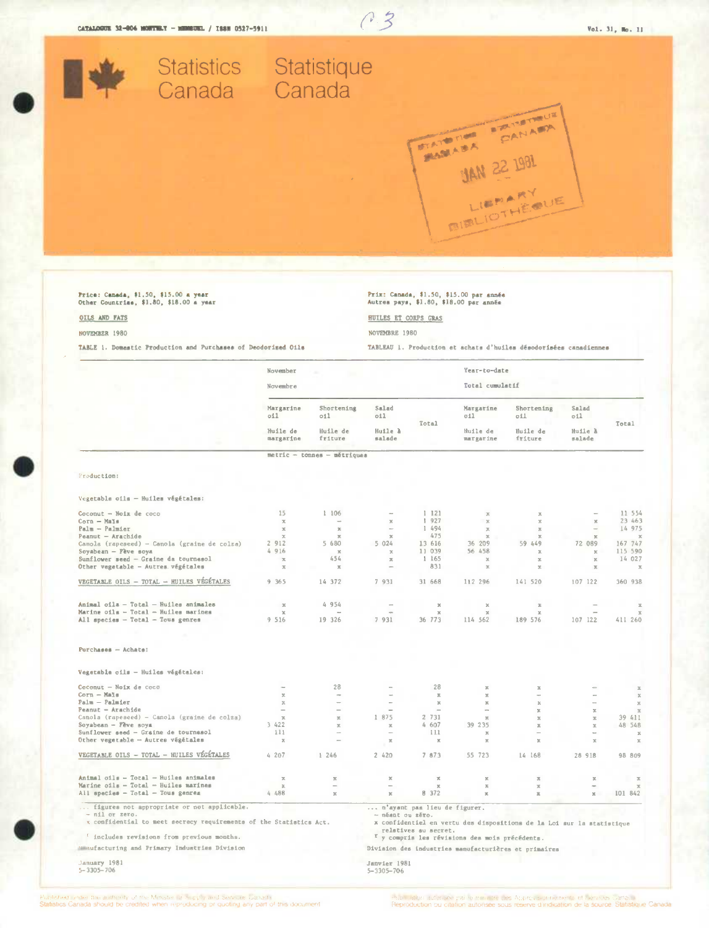

 $0.3$ 

# Price: Canada, \$1.50, \$15.00 a year<br>Other Countriae, \$1.80, \$18.00 a year

#### OILS AND FATS

NOVEMBER 1980

TABLE 1. Domestic Production and Purchases of Deodorized Oils

# Prix: Canada, \$1.50, \$15.00 par année<br>Autres pays, \$1.80, \$18.00 par année

### HUILES ET CORPS GRAS

NOVEMBRE 1980

TABLEAU 1. Production et achats d'huiles désodorisées canadiennes

|                                                                    | November                                  |                                          |                                   |                              | Year-to-date                                              |                                                                       |                                   |                                                |
|--------------------------------------------------------------------|-------------------------------------------|------------------------------------------|-----------------------------------|------------------------------|-----------------------------------------------------------|-----------------------------------------------------------------------|-----------------------------------|------------------------------------------------|
|                                                                    | Novembre                                  |                                          |                                   |                              | Total cumulatif                                           |                                                                       |                                   |                                                |
|                                                                    | Margarine<br>011<br>Huile de<br>margarine | Shortening<br>011<br>Huile de<br>friture | Salad<br>011<br>Huile à<br>salade | Total                        | Margarine<br>oil<br>Huile de<br>margarine                 | Shortening<br>oil<br>Huile de<br>friture                              | Salad<br>oil<br>Huile à<br>salade | <b>Total</b>                                   |
|                                                                    |                                           |                                          |                                   |                              |                                                           |                                                                       |                                   |                                                |
|                                                                    |                                           | metric - tonnes - métriques              |                                   |                              |                                                           |                                                                       |                                   |                                                |
| Production:                                                        |                                           |                                          |                                   |                              |                                                           |                                                                       |                                   |                                                |
| Vegetable oils - Huiles végétales:                                 |                                           |                                          |                                   |                              |                                                           |                                                                       |                                   |                                                |
| Coconut - Noix de coco                                             | 15                                        | 1 106                                    | $\sim$                            | 1121                         | $\mathcal{K}$                                             | $\overline{\mathcal{R}}$                                              |                                   | 11 554                                         |
| Corn - Mals                                                        | $\overline{z_i}$                          | $\overline{\phantom{a}}$                 | $\mathbb X$                       | 1 927                        | $\mathbb{X}$                                              | $\mathbb{X}$                                                          | $\mathbb X$                       | 23 463                                         |
| $P$ alm - $P$ almier                                               | $\mathbb{R}$                              | $\infty$                                 | $\sim$                            | 1 494                        | $\mathcal{R}$                                             | $\mathbbm{Z}$                                                         | $\overline{\phantom{a}}$          | 14 975                                         |
| Peanut - Arachide                                                  | $\propto$                                 | $\propto$                                | $\mathcal{R}$                     | 475                          | $\mathbb{R}$                                              | $\mathbf x$                                                           | $\mathbb{X}$                      | $\mathbf x$                                    |
| Canola (rapeseed) - Canola (graine de colza)                       | 2 912                                     | 5 680                                    | 5024                              | 13 616                       | 36 209                                                    | 59 449                                                                | 72 089                            | 167 747                                        |
| Soyabean - Fève soya                                               | 4 916                                     | $\mathbf{x}$                             | $\propto$                         | 11 039                       | 56 458                                                    | $\boldsymbol{\times}$                                                 | $\mathbb{R}$                      | 115 590                                        |
| Sunflower seed - Graine da tournesol                               | $\propto$                                 | 454                                      | $\mathbbm{X}$                     | 1165                         | $\mathbb X$                                               | $\mathbb{R}$                                                          | $\mathbb{X}$                      | 14 027                                         |
| Other vegetable - Autres végétales                                 | $\overline{\mathcal{N}}_i$                | $\overline{\mathcal{N}}_i$               |                                   | 831                          | $\mathbb{X}$                                              | $\mathbb{X}$                                                          | $\mathbbm{Z}$                     | $\mathbf{x}$                                   |
| VEGETABLE OILS - TOTAL - HUILES VÉGÉTALES                          | 9 365                                     | 14 372                                   | 7 931                             | 31 668                       | 112 296                                                   | 141 520                                                               | 107 122                           | 360 938                                        |
| Animal oils - Total - Huiles animales                              | $\boldsymbol{\mathrm{X}}$                 | 4 954                                    | $\sim$                            | $\boldsymbol{\mathrm{x}}$    | $\chi$                                                    | $\mathcal{Y}_i$                                                       |                                   | $\mathfrak{A}$                                 |
| Marine oils - Total - Huiles marines                               | $\mathcal{R}$                             |                                          |                                   | $\mathbb{X}$                 | $\mathcal{R}$                                             | $\mathbf{x}$                                                          | $\sim$                            | $\mathcal{R}$                                  |
| All species - Total - Tous genres                                  | 9 516                                     | 19 326                                   | 7 931                             | 36 773                       | 114 562                                                   | 189 576                                                               | 107 122                           | 411 260                                        |
|                                                                    |                                           |                                          |                                   |                              |                                                           |                                                                       |                                   |                                                |
| $Purchases - Achats$ :                                             |                                           |                                          |                                   |                              |                                                           |                                                                       |                                   |                                                |
| Vegetable oils - Huiles végétales:                                 |                                           |                                          |                                   |                              |                                                           |                                                                       |                                   |                                                |
| Coconut - Noix de coco                                             | $\sim$                                    | 28                                       | $\rightarrow$                     | 28                           | $\mathbb{R}$                                              | $\mathbf{x}$                                                          |                                   |                                                |
| $Corn - Mnlin$                                                     | $\mathbb{R}$                              | <b>Sept.</b>                             | $\sim$                            | $\Xi$                        | $\mathfrak{A}$                                            | $\overline{\phantom{a}}$                                              | $\sim$                            | $\boldsymbol{\underline{\pi}}$<br>$\mathbb{X}$ |
| $Palm - Palmer$                                                    | $\mathbbm{R}$                             | $\overline{\phantom{a}}$                 | $\overline{\phantom{a}}$          | $\boldsymbol{\times}$        | $\mathbbm{K}$                                             | $\mathbf x$                                                           |                                   | $\mathbb{X}$                                   |
| Peanut - Arachide                                                  | $\overline{\phantom{a}}$                  | $\equiv$                                 | $\overline{\phantom{a}}$          | $\overline{\phantom{a}}$     | $\overline{\phantom{a}}$                                  | $\mathbbm{K}$                                                         | $\mathbb X$                       | $\mathfrak{U}$                                 |
| Canola (rapeseed) - Canola (graine de colza)                       | $\mathbb X$                               | $\mathbb{R}$                             | 1 875                             | 2 731                        | $\mathbb{X}$                                              | $\boldsymbol{\underline{\pi}}$                                        | $\boldsymbol{\Xi}$                | 39 411                                         |
| Soyabean - Feve soya                                               | 3 422                                     | $\infty$                                 | $\mathbbm{K}$                     | 4607                         | 39 235                                                    | $\mathbb R$                                                           | $\mathfrak{U}$                    | 48 548                                         |
| Sunflower seed - Graine de tournesol                               | 111                                       | $\overline{\phantom{a}}$                 |                                   | 111                          | $\mathbf{X}$                                              | $\overline{\phantom{a}}$                                              | $\overline{\phantom{a}}$          | $\mathbb X$                                    |
| Other vegetable - Autres végétales                                 | $\rm X$                                   | $\overline{\phantom{a}}$                 | ×                                 | $\mathbf x$                  | $\mathbf x$                                               | $\mathbb{R}$                                                          | $\mathbf{x}$                      | $\mathbb X$                                    |
| VEGETABLE OILS - TOTAL - HUILES VÉGÉTALES                          | 4207                                      | 1.246                                    | 2 420                             | 7 873                        | 55 723                                                    | 14 168                                                                | 28 918                            | 98 809                                         |
| Animal cils - Total - Huiles animales                              |                                           |                                          |                                   |                              |                                                           |                                                                       |                                   |                                                |
| Marine oils - Total - Huiles marines                               | $\mathbbm{K}$<br>$\mathbbm{Z}$            | $\mathbb{N}$                             | x<br>$\overline{a}$               | $\mathbbm{K}$<br>$\mathbf x$ | $\mathbb{X}$<br>$\mathbb{X}$                              | $\mathbbm{Z}$<br>$\mathbb{X}$                                         | $\mathbb{X}$                      | $\mathbbm{Z}$<br>$\mathbb{R}$                  |
| All species - Total - Tous genrea                                  | 4 488                                     | $\mathbb{R}$                             | $\mathbb{X}$                      | 8 372                        | $\mathbf x$                                               | $\mathbbm{R}$                                                         | $\mathbb{X}$                      | 101 842                                        |
| figures not appropriate or not applicable.                         |                                           |                                          |                                   | n'ayant pas lieu de figurer. |                                                           |                                                                       |                                   |                                                |
| - nil or zero.                                                     |                                           |                                          | - néant ou zéro.                  |                              |                                                           |                                                                       |                                   |                                                |
| x confidential to meet secrecy requirements of the Statistics Act. |                                           |                                          |                                   |                              |                                                           | x confidentiel en vertu des dispositions de la Loi sur la statistique |                                   |                                                |
|                                                                    |                                           |                                          |                                   | relatives au secret.         |                                                           |                                                                       |                                   |                                                |
| ' includes revisions from previous months.                         |                                           |                                          |                                   |                              | <sup>r</sup> y compris les révisions des mois précédents. |                                                                       |                                   |                                                |
| Manufacturing and Primary Industries Division                      |                                           |                                          |                                   |                              |                                                           | Division des industries manufacturières et primaires                  |                                   |                                                |
| January 1981<br>$5 - 3305 - 706$                                   |                                           |                                          | Janvier 1981<br>5-3305-706        |                              |                                                           |                                                                       |                                   |                                                |